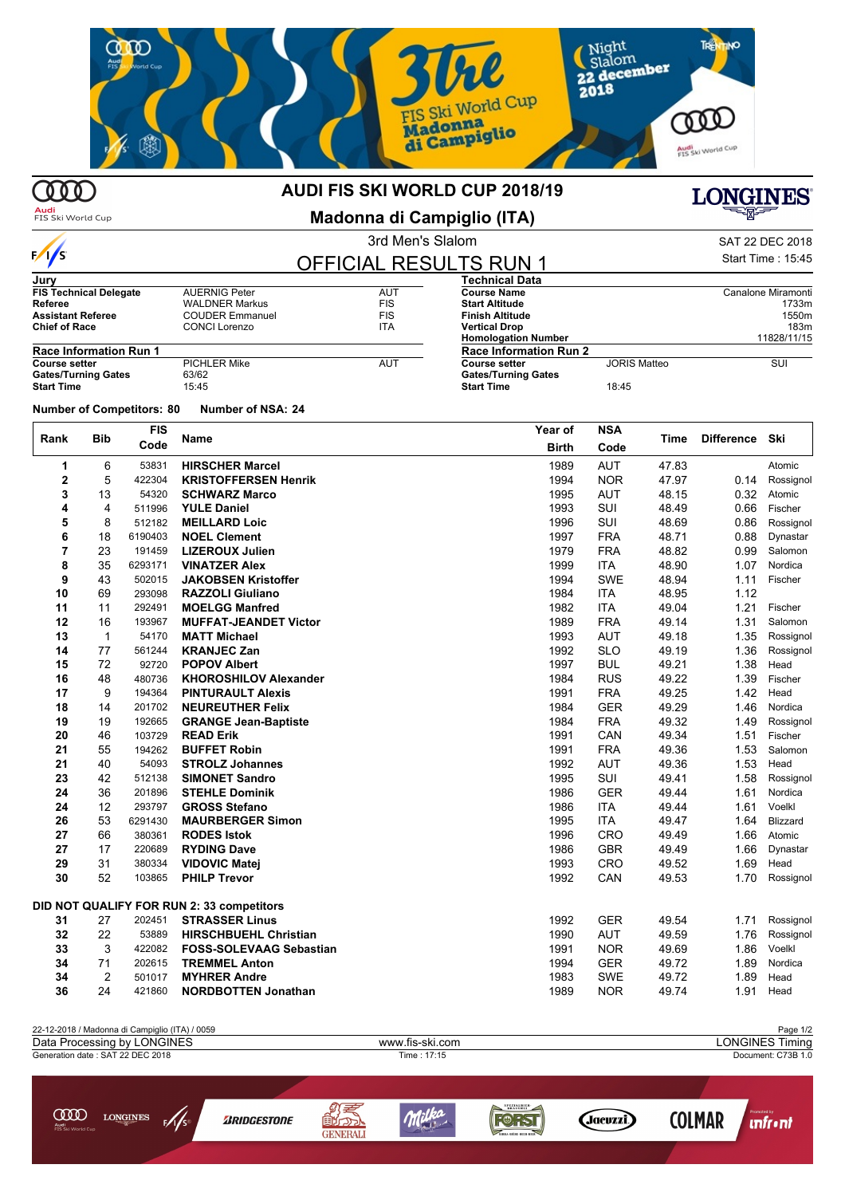

## 000

 $\frac{1}{s}$ 

#### **AUDI FIS SKI WORLD CUP 2018/19**

Audi<br>FIS Ski World Cup

ന്ന

**Madonna di Campiglio (ITA)**

| KI WORLD CUP 2018/19  | <b>LONGINES</b> |  |  |  |
|-----------------------|-----------------|--|--|--|
| na di Campiglio (ITA) | 노래도             |  |  |  |
| 3rd Men's Slalom      | SAT 22 DEC 2018 |  |  |  |

Start Time : 15:45

# OFFICIAL RESULTS RUN 1

| Jury                                                             |                       |            | <b>Technical Data</b>         |                     |                    |
|------------------------------------------------------------------|-----------------------|------------|-------------------------------|---------------------|--------------------|
| <b>FIS Technical Delegate</b>                                    | <b>AUERNIG Peter</b>  | <b>AUT</b> | <b>Course Name</b>            |                     | Canalone Miramonti |
| Referee                                                          | <b>WALDNER Markus</b> | <b>FIS</b> | <b>Start Altitude</b>         |                     | 1733m              |
| <b>FIS</b><br><b>Assistant Referee</b><br><b>COUDER Emmanuel</b> |                       |            | <b>Finish Altitude</b>        | 1550m               |                    |
| <b>Chief of Race</b>                                             | <b>CONCI Lorenzo</b>  | ITA        | <b>Vertical Drop</b>          | 183m                |                    |
|                                                                  |                       |            | <b>Homologation Number</b>    |                     | 11828/11/15        |
| <b>Race Information Run 1</b>                                    |                       |            | <b>Race Information Run 2</b> |                     |                    |
| <b>Course setter</b>                                             | <b>PICHLER Mike</b>   | AUT        | <b>Course setter</b>          | <b>JORIS Matteo</b> | SUI                |
| <b>Gates/Turning Gates</b>                                       | 63/62                 |            | <b>Gates/Turning Gates</b>    |                     |                    |
| <b>Start Time</b>                                                | 15:45                 |            | <b>Start Time</b>             | 18:45               |                    |

**Number of Competitors: 80 Number of NSA: 24**

**Bib FIS Rank Name Time Difference Year of Code NSA Birth Code Ski** 6 53831 **HIRSCHER Marcel** 1989 AUT 47.83 Atomic 1989 AUT 47.83 Atomic 1989 AUT 47.83 Atomic 1989 AUT 47.97 Atomic 5 422304 **KRISTOFFERSEN Henrik** 1994 NOR 47.97 0.14 Rossignol 13 54320 **SCHWARZ Marco** 1995 AUT 48.15 0.32 Atomic 4 511996 **YULE Daniel** 1993 SUI 48.49 0.66 Fischer 8 512182 **MEILLARD Loic** 1996 SUI 48.69 0.86 Rossignol 18 6190403 **NOEL Clement** 1997 FRA 48.71 0.88 Dynastar 23 191459 **LIZEROUX Julien** 1979 FRA 48.82 0.99 Salomon 35 6293171 **VINATZER Alex** 1999 ITA 48.90 1.07 Nordica 43 502015 **JAKOBSEN Kristoffer** 1994 SWE 48.94 1.11 Fischer 69 293098 **RAZZOLI Giuliano** 1984 ITA 48.95 1.12 11 292491 **MOELGG Manfred** 1982 ITA 49.04 1.21 Fischer 16 193967 **MUFFAT-JEANDET Victor** 1989 FRA 49.14 1.31 Salomon 1 54170 **MATT Michael** 1993 AUT 49.18 1.35 Rossignol 77 561244 **KRANJEC Zan** 1992 SLO 49.19 1.36 Rossignol 72 92720 **POPOV Albert** 1997 BUL 49.21 1.38 Head 48 480736 **KHOROSHILOV Alexander** 1984 RUS 49.22 1.39 Fischer 9 194364 **PINTURAULT Alexis** 1991 FRA 49.25 1.42 Head 14 201702 **NEUREUTHER Felix** 1984 GER 49.29 1.46 Nordica 19 192665 **GRANGE Jean-Baptiste** 1984 FRA 49.32 1.49 Rossignol 46 103729 **READ Erik** 1991 CAN 49.34 1.51 Fischer 55 194262 **BUFFET Robin** 1991 FRA 49.36 1.53 Salomon 40 54093 **STROLZ Johannes** 1992 AUT 49.36 1.53 Head 42 512138 **SIMONET Sandro** 1995 SUI 49.41 1.58 Rossignol 36 201896 **STEHLE Dominik** 1986 GER 49.44 1.61 Nordica 12 293797 **GROSS Stefano** 1986 ITA 49.44 1.61 Voelkl 53 6291430 **MAURBERGER Simon** 1995 ITA 49.47 1.64 Blizzard 66 380361 **RODES Istok** 1996 CRO 49.49 1.66 Atomic 17 220689 **RYDING Dave** 1986 GBR 49.49 1.66 Dynastar 31 380334 **VIDOVIC Matej** 1993 CRO 49.52 1.69 Head 52 103865 **PHILP Trevor** 1992 CAN 49.53 1.70 Rossignol **DID NOT QUALIFY FOR RUN 2: 33 competitors** 27 202451 **STRASSER Linus** 1992 GER 49.54 1.71 Rossignol 22 53889 **HIRSCHBUEHL Christian** 1990 AUT 49.59 1.76 Rossignol 3 422082 **FOSS-SOLEVAAG Sebastian** 1991 **1991** NOR 49.69 1.86 Voelkl<br>**34** 71 202615 **TRFMMFI Anton** 1994 GER 49.72 1.89 Nordic 71 202615 **TREMMEL Anton** 1994 GER 49.72 1.89 Nordica 2 501017 **MYHRER Andre** 1983 SWE 49.72 1.89 Head 24 421860 **NORDBOTTEN Jonathan** 1989 NOR 49.74 1.91 Head

| 22-12-2018 / Madonna di Campiglio (ITA) / 0059 |                 | Page 1/2               |  |  |  |
|------------------------------------------------|-----------------|------------------------|--|--|--|
| Data Processing by LONGINES                    | www.fis-ski.com | <b>LONGINES Timing</b> |  |  |  |
| Generation date: SAT 22 DEC 2018               | Time : 17:15    | Document: C73B 1.0     |  |  |  |
|                                                |                 |                        |  |  |  |